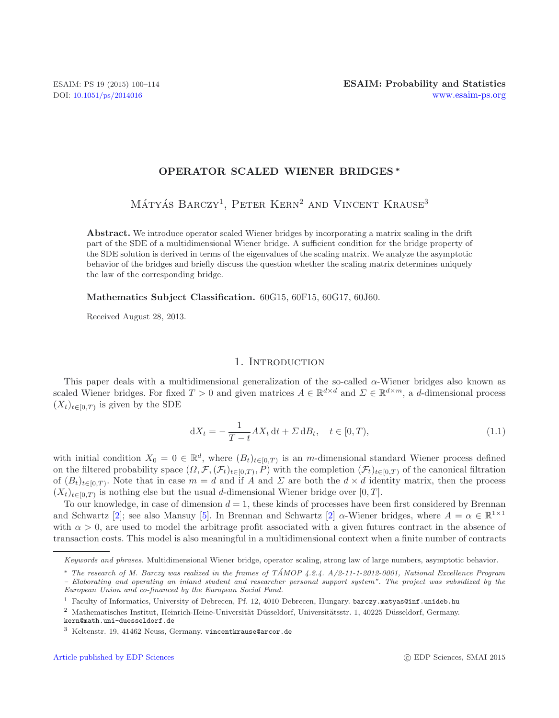### **OPERATOR SCALED WIENER BRIDGES** *∗*

MÁTYÁS BARCZY<sup>1</sup>, PETER KERN<sup>2</sup> AND VINCENT KRAUSE<sup>3</sup>

<span id="page-0-0"></span>**Abstract.** We introduce operator scaled Wiener bridges by incorporating a matrix scaling in the drift part of the SDE of a multidimensional Wiener bridge. A sufficient condition for the bridge property of the SDE solution is derived in terms of the eigenvalues of the scaling matrix. We analyze the asymptotic behavior of the bridges and briefly discuss the question whether the scaling matrix determines uniquely the law of the corresponding bridge.

**Mathematics Subject Classification.** 60G15, 60F15, 60G17, 60J60.

Received August 28, 2013.

#### 1. INTRODUCTION

This paper deals with a multidimensional generalization of the so-called  $\alpha$ -Wiener bridges also known as scaled Wiener bridges. For fixed  $T > 0$  and given matrices  $A \in \mathbb{R}^{d \times d}$  and  $\Sigma \in \mathbb{R}^{d \times m}$ , a d-dimensional process  $(X_t)_{t\in[0,T)}$  is given by the SDE

$$
dX_t = -\frac{1}{T - t} A X_t dt + \Sigma dB_t, \quad t \in [0, T),
$$
\n(1.1)

with initial condition  $X_0 = 0 \in \mathbb{R}^d$ , where  $(B_t)_{t \in [0,T]}$  is an m-dimensional standard Wiener process defined on the filtered probability space  $(\Omega, \mathcal{F}, (\mathcal{F}_t)_{t\in[0,T)}, P)$  with the completion  $(\mathcal{F}_t)_{t\in[0,T)}$  of the canonical filtration of  $(B_t)_{t\in[0,T)}$ . Note that in case  $m=d$  and if A and  $\Sigma$  are both the  $d\times d$  identity matrix, then the process  $(X_t)_{t\in[0,T)}$  is nothing else but the usual d-dimensional Wiener bridge over [0, T].

To our knowledge, in case of dimension  $d = 1$ , these kinds of processes have been first considered by Brennan and Schwartz [\[2\]](#page-14-0); see also Mansuy [\[5](#page-14-1)]. In Brennan and Schwartz [2]  $\alpha$ -Wiener bridges, where  $A = \alpha \in \mathbb{R}^{1 \times 1}$ with  $\alpha > 0$ , are used to model the arbitrage profit associated with a given futures contract in the absence of transaction costs. This model is also meaningful in a multidimensional context when a finite number of contracts

*Keywords and phrases.* Multidimensional Wiener bridge, operator scaling, strong law of large numbers, asymptotic behavior.

<sup>∗</sup> *The research of M. Barczy was realized in the frames of TAMOP 4.2.4. A/2-11-1-2012-0001, National Excellence Program ´ – Elaborating and operating an inland student and researcher personal support system". The project was subsidized by the European Union and co-financed by the European Social Fund.*

<sup>1</sup> Faculty of Informatics, University of Debrecen, Pf. 12, 4010 Debrecen, Hungary. barczy.matyas@inf.unideb.hu

 $2$  Mathematisches Institut, Heinrich-Heine-Universität Düsseldorf, Universitätsstr. 1, 40225 Düsseldorf, Germany. kern@math.uni-duesseldorf.de

<sup>3</sup> Keltenstr. 19, 41462 Neuss, Germany. vincentkrause@arcor.de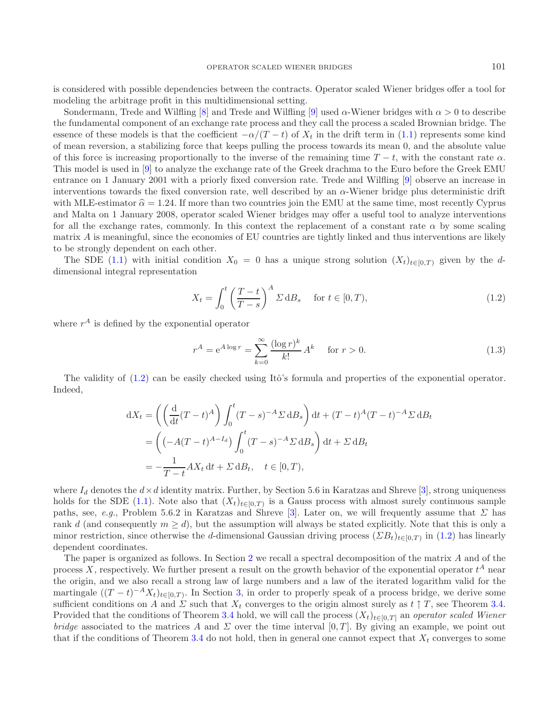is considered with possible dependencies between the contracts. Operator scaled Wiener bridges offer a tool for modeling the arbitrage profit in this multidimensional setting.

<span id="page-1-0"></span>Sondermann, Trede and Wilfling [\[8\]](#page-14-2) and Trede and Wilfling [\[9](#page-14-3)] used  $\alpha$ -Wiener bridges with  $\alpha > 0$  to describe the fundamental component of an exchange rate process and they call the process a scaled Brownian bridge. The essence of these models is that the coefficient  $-\alpha/(T-t)$  of  $X_t$  in the drift term in [\(1.1\)](#page-0-0) represents some kind of mean reversion, a stabilizing force that keeps pulling the process towards its mean 0, and the absolute value of this force is increasing proportionally to the inverse of the remaining time  $T - t$ , with the constant rate  $\alpha$ . This model is used in [\[9](#page-14-3)] to analyze the exchange rate of the Greek drachma to the Euro before the Greek EMU entrance on 1 January 2001 with a priorly fixed conversion rate. Trede and Wilfling [\[9](#page-14-3)] observe an increase in interventions towards the fixed conversion rate, well described by an α-Wiener bridge plus deterministic drift with MLE-estimator  $\hat{\alpha} = 1.24$ . If more than two countries join the EMU at the same time, most recently Cyprus<br>and Malta and January 2008, approximately Wisner hydres were effected as a verial tool to engly intervanting and Malta on 1 January 2008, operator scaled Wiener bridges may offer a useful tool to analyze interventions for all the exchange rates, commonly. In this context the replacement of a constant rate  $\alpha$  by some scaling matrix  $A$  is meaningful, since the economies of EU countries are tightly linked and thus interventions are likely to be strongly dependent on each other.

The SDE [\(1.1\)](#page-0-0) with initial condition  $X_0 = 0$  has a unique strong solution  $(X_t)_{t \in [0,T]}$  given by the ddimensional integral representation

<span id="page-1-1"></span>
$$
X_t = \int_0^t \left(\frac{T-t}{T-s}\right)^A \Sigma \, \mathrm{d}B_s \quad \text{ for } t \in [0, T), \tag{1.2}
$$

where  $r^A$  is defined by the exponential operator

$$
r^{A} = e^{A \log r} = \sum_{k=0}^{\infty} \frac{(\log r)^{k}}{k!} A^{k} \quad \text{for } r > 0.
$$
 (1.3)

The validity of  $(1.2)$  can be easily checked using Itô's formula and properties of the exponential operator. Indeed,

$$
dX_t = \left( \left( \frac{d}{dt} (T - t)^A \right) \int_0^t (T - s)^{-A} \Sigma \, dB_s \right) dt + (T - t)^A (T - t)^{-A} \Sigma \, dB_t
$$
  
= 
$$
\left( (-A(T - t)^{A - I_d}) \int_0^t (T - s)^{-A} \Sigma \, dB_s \right) dt + \Sigma \, dB_t
$$
  
= 
$$
-\frac{1}{T - t} A X_t \, dt + \Sigma \, dB_t, \quad t \in [0, T),
$$

where  $I_d$  denotes the  $d \times d$  identity matrix. Further, by Section 5.6 in Karatzas and Shreve [\[3\]](#page-14-4), strong uniqueness holds for the SDE [\(1.1\)](#page-0-0). Note also that  $(X_t)_{t\in[0,T)}$  is a Gauss process with almost surely continuous sample paths, see, *e.g.*, Problem 5.6.2 in Karatzas and Shreve [\[3\]](#page-14-4). Later on, we will frequently assume that  $\Sigma$  has rank d (and consequently  $m \geq d$ ), but the assumption will always be stated explicitly. Note that this is only a minor restriction, since otherwise the d-dimensional Gaussian driving process  $(EB_t)_{t\in[0,T)}$  in [\(1.2\)](#page-1-0) has linearly dependent coordinates.

The paper is organized as follows. In Section [2](#page-2-0) we recall a spectral decomposition of the matrix A and of the process X, respectively. We further present a result on the growth behavior of the exponential operator  $t^A$  near the origin, and we also recall a strong law of large numbers and a law of the iterated logarithm valid for the martingale  $((T - t)^{-A}X_t)_{t\in[0,T)}$ . In Section [3,](#page-5-0) in order to properly speak of a process bridge, we derive some sufficient conditions on A and  $\Sigma$  such that  $X_t$  converges to the origin almost surely as  $t \uparrow T$ , see Theorem [3.4.](#page-6-0) Provided that the conditions of Theorem [3.4](#page-6-0) hold, we will call the process  $(X_t)_{t\in[0,T]}$  an *operator scaled Wiener bridge* associated to the matrices A and  $\Sigma$  over the time interval [0, T]. By giving an example, we point out that if the conditions of Theorem [3.4](#page-6-0) do not hold, then in general one cannot expect that  $X_t$  converges to some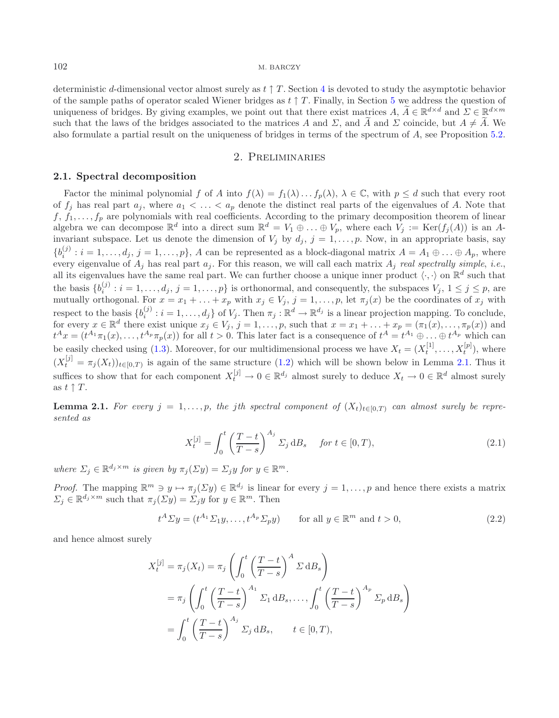deterministic d-dimensional vector almost surely as  $t \uparrow T$ . Section [4](#page-8-0) is devoted to study the asymptotic behavior of the sample paths of operator scaled Wiener bridges as  $t \uparrow T$ . Finally, in Section [5](#page-13-0) we address the question of uniqueness of bridges. By giving examples, we point out that there exist matrices A,  $\tilde{A} \in \mathbb{R}^{d \times d}$  and  $\Sigma \in \mathbb{R}^{d \times m}$ such that the laws of the bridges associated to the matrices A and  $\Sigma$ , and A and  $\Sigma$  coincide, but  $A \neq A$ . We also formulate a partial result on the uniqueness of bridges in terms of the spectrum of A, see Proposition [5.2.](#page-14-5)

#### <span id="page-2-2"></span>2. Preliminaries

#### <span id="page-2-4"></span><span id="page-2-0"></span>**2.1. Spectral decomposition**

Factor the minimal polynomial f of A into  $f(\lambda) = f_1(\lambda) \dots f_p(\lambda)$ ,  $\lambda \in \mathbb{C}$ , with  $p \leq d$  such that every root of  $f_j$  has real part  $a_j$ , where  $a_1 < \ldots < a_p$  denote the distinct real parts of the eigenvalues of A. Note that  $f, f_1, \ldots, f_p$  are polynomials with real coefficients. According to the primary decomposition theorem of linear algebra we can decompose  $\mathbb{R}^d$  into a direct sum  $\mathbb{R}^d = V_1 \oplus \ldots \oplus V_p$ , where each  $V_j := \text{Ker}(f_j(A))$  is an Ainvariant subspace. Let us denote the dimension of  $V_j$  by  $d_j$ ,  $j = 1, \ldots, p$ . Now, in an appropriate basis, say  ${b_i^{(j)} : i = 1, \ldots, d_j, j = 1, \ldots, p}$ , A can be represented as a block-diagonal matrix  $A = A_1 \oplus \ldots \oplus A_p$ , where every eigenvalue of  $A_i$  has real part  $a_i$ . For this reason, we will call each matrix  $A_i$  *real spectrally simple*, *i.e.*, all its eigenvalues have the same real part. We can further choose a unique inner product  $\langle \cdot, \cdot \rangle$  on  $\mathbb{R}^d$  such that the basis  $\{b_i^{(j)}: i = 1,\ldots,d_j, j = 1,\ldots,p\}$  is orthonormal, and consequently, the subspaces  $V_j, 1 \leq j \leq p$ , are mutually orthogonal. For  $x = x_1 + \ldots + x_p$  with  $x_j \in V_j$ ,  $j = 1, \ldots, p$ , let  $\pi_j(x)$  be the coordinates of  $x_j$  with respect to the basis  $\{b_i^{(j)} : i = 1, \ldots, d_j\}$  of  $V_j$ . Then  $\pi_j : \mathbb{R}^d \to \mathbb{R}^{d_j}$  is a linear projection mapping. To conclude, for every  $x \in \mathbb{R}^d$  there exist unique  $x_j \in V_j$ ,  $j = 1, ..., p$ , such that  $x = x_1 + ... + x_p = (\pi_1(x), ..., \pi_p(x))$  and  $t^A x = (t^{A_1} \pi_1(x), ..., t^{A_p} \pi_p(x))$  for all  $t > 0$ . This later fact is a consequence of  $t^A = t^{A_1} \oplus ... \oplus t^{A_p}$  which ca be easily checked using [\(1.3\)](#page-1-1). Moreover, for our multidimensional process we have  $X_t = (X_t^{[1]}, \ldots, X_t^{[p]}),$  where  $(X_t^{[j]} = \pi_j(X_t))_{t \in [0,T)}$  is again of the same structure [\(1.2\)](#page-1-0) which will be shown below in Lemma [2.1.](#page-2-1) Thus it suffices to show that for each component  $X_t^{[j]} \to 0 \in \mathbb{R}^{d_j}$  almost surely to deduce  $X_t \to 0 \in \mathbb{R}^d$  almost surely as  $t \uparrow T$ .

<span id="page-2-1"></span>**Lemma 2.1.** *For every*  $j = 1, \ldots, p$ , *the jth spectral component of*  $(X_t)_{t \in [0,T]}$  *can almost surely be represented as*

<span id="page-2-3"></span>
$$
X_t^{[j]} = \int_0^t \left(\frac{T-t}{T-s}\right)^{A_j} \Sigma_j \, \mathrm{d}B_s \quad \text{for } t \in [0, T), \tag{2.1}
$$

*where*  $\Sigma_j \in \mathbb{R}^{d_j \times m}$  *is given by*  $\pi_j(\Sigma y) = \Sigma_j y$  *for*  $y \in \mathbb{R}^m$ *.* 

*Proof.* The mapping  $\mathbb{R}^m \ni y \mapsto \pi_j(\Sigma y) \in \mathbb{R}^{d_j}$  is linear for every  $j = 1, \ldots, p$  and hence there exists a matrix  $\Sigma_j \in \mathbb{R}^{d_j \times m}$  such that  $\pi_j(\Sigma y) = \Sigma_j y$  for  $y \in \mathbb{R}^m$ . Then

$$
t^{A} \Sigma y = (t^{A_1} \Sigma_1 y, \dots, t^{A_p} \Sigma_p y) \qquad \text{for all } y \in \mathbb{R}^m \text{ and } t > 0,
$$
\n
$$
(2.2)
$$

and hence almost surely

$$
X_t^{[j]} = \pi_j(X_t) = \pi_j \left( \int_0^t \left( \frac{T - t}{T - s} \right)^A \Sigma \, \mathrm{d}B_s \right)
$$
  
=  $\pi_j \left( \int_0^t \left( \frac{T - t}{T - s} \right)^{A_1} \Sigma_1 \, \mathrm{d}B_s, \dots, \int_0^t \left( \frac{T - t}{T - s} \right)^{A_p} \Sigma_p \, \mathrm{d}B_s \right)$   
=  $\int_0^t \left( \frac{T - t}{T - s} \right)^{A_j} \Sigma_j \, \mathrm{d}B_s, \qquad t \in [0, T),$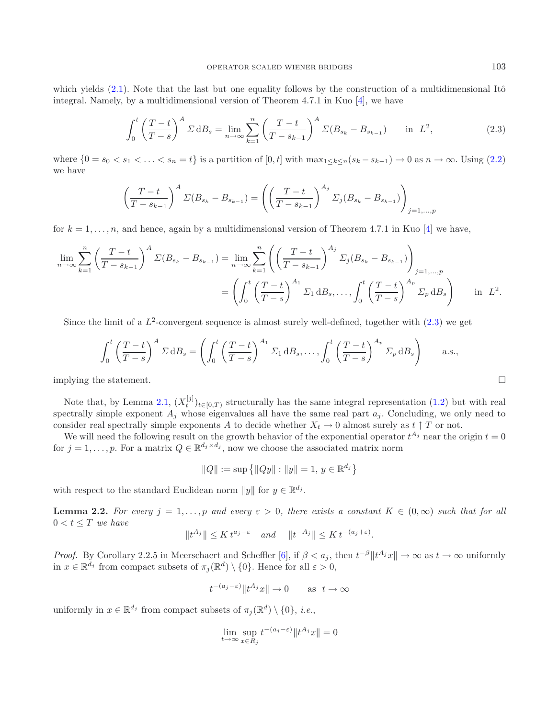which yields  $(2.1)$ . Note that the last but one equality follows by the construction of a multidimensional Itô integral. Namely, by a multidimensional version of Theorem 4.7.1 in Kuo [\[4](#page-14-6)], we have

<span id="page-3-0"></span>
$$
\int_0^t \left(\frac{T-t}{T-s}\right)^A \Sigma \, \mathrm{d}B_s = \lim_{n \to \infty} \sum_{k=1}^n \left(\frac{T-t}{T-s_{k-1}}\right)^A \Sigma(B_{s_k} - B_{s_{k-1}}) \quad \text{in } L^2,
$$
\n(2.3)

where  $\{0 = s_0 < s_1 < \ldots < s_n = t\}$  is a partition of  $[0, t]$  with  $\max_{1 \leq k \leq n} (s_k - s_{k-1}) \to 0$  as  $n \to \infty$ . Using [\(2.2\)](#page-2-3) we have

$$
\left(\frac{T-t}{T-s_{k-1}}\right)^{A} \Sigma(B_{s_k} - B_{s_{k-1}}) = \left(\left(\frac{T-t}{T-s_{k-1}}\right)^{A_j} \Sigma_j(B_{s_k} - B_{s_{k-1}})\right)_{j=1,...,p}
$$

for  $k = 1, \ldots, n$ , and hence, again by a multidimensional version of Theorem 4.7.1 in Kuo [\[4](#page-14-6)] we have,

$$
\lim_{n \to \infty} \sum_{k=1}^{n} \left( \frac{T-t}{T - s_{k-1}} \right)^{A} \Sigma(B_{s_{k}} - B_{s_{k-1}}) = \lim_{n \to \infty} \sum_{k=1}^{n} \left( \left( \frac{T-t}{T - s_{k-1}} \right)^{A_{j}} \Sigma_{j} (B_{s_{k}} - B_{s_{k-1}}) \right)_{j=1,...,p}
$$
\n
$$
= \left( \int_{0}^{t} \left( \frac{T-t}{T - s} \right)^{A_{1}} \Sigma_{1} dB_{s}, \dots, \int_{0}^{t} \left( \frac{T-t}{T - s} \right)^{A_{p}} \Sigma_{p} dB_{s} \right) \quad \text{in} \ \ L^{2}.
$$

Since the limit of a  $L^2$ -convergent sequence is almost surely well-defined, together with [\(2.3\)](#page-3-0) we get

$$
\int_0^t \left(\frac{T-t}{T-s}\right)^A \Sigma \, dB_s = \left(\int_0^t \left(\frac{T-t}{T-s}\right)^{A_1} \Sigma_1 \, dB_s, \dots, \int_0^t \left(\frac{T-t}{T-s}\right)^{A_p} \Sigma_p \, dB_s\right) \quad \text{a.s.,}
$$

implying the statement.

Note that, by Lemma [2.1,](#page-2-1)  $(X_t^{[j]})_{t\in[0,T)}$  structurally has the same integral representation [\(1.2\)](#page-1-0) but with real reading up and the same real part  $\epsilon$ . Concluding we only need to spectrally simple exponent  $A_i$  whose eigenvalues all have the same real part  $a_i$ . Concluding, we only need to consider real spectrally simple exponents A to decide whether  $X_t \to 0$  almost surely as  $t \uparrow T$  or not.

We will need the following result on the growth behavior of the exponential operator  $t^{A_j}$  near the origin  $t = 0$ for  $j = 1, \ldots, p$ . For a matrix  $Q \in \mathbb{R}^{d_j \times d_j}$ , now we choose the associated matrix norm

$$
||Q|| := \sup \left\{ ||Qy|| : ||y|| = 1, y \in \mathbb{R}^{d_j} \right\}
$$

<span id="page-3-1"></span>with respect to the standard Euclidean norm  $||y||$  for  $y \in \mathbb{R}^{d_j}$ .

**Lemma 2.2.** *For every*  $j = 1, \ldots, p$  *and every*  $\varepsilon > 0$ , *there exists a constant*  $K \in (0, \infty)$  *such that for all*  $0 < t < T$  we have

$$
||t^{A_j}|| \le K t^{a_j - \varepsilon} \quad and \quad ||t^{-A_j}|| \le K t^{-(a_j + \varepsilon)}.
$$

*Proof.* By Corollary 2.2.5 in Meerschaert and Scheffler [\[6](#page-14-7)], if  $\beta < a_j$ , then  $t^{-\beta} \| t^{A_j} x \| \to \infty$  as  $t \to \infty$  uniformly in  $x \in \mathbb{R}^{d_j}$  from compact subsets of  $\pi_i(\mathbb{R}^d) \setminus \{0\}$ . Hence for all  $\varepsilon > 0$ ,

$$
t^{-(a_j-\varepsilon)}\|t^{A_j}x\|\to 0 \qquad \text{as} \ \ t\to \infty
$$

uniformly in  $x \in \mathbb{R}^{d_j}$  from compact subsets of  $\pi_i(\mathbb{R}^d) \setminus \{0\}$ , *i.e.*,

$$
\lim_{t \to \infty} \sup_{x \in R_j} t^{-(a_j - \varepsilon)} \| t^{A_j} x \| = 0
$$

$$
\qquad \qquad \Box
$$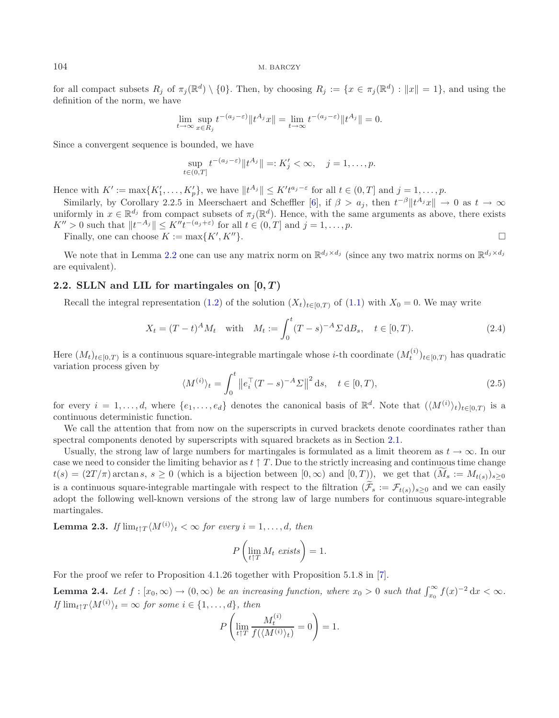for all compact subsets  $R_j$  of  $\pi_j(\mathbb{R}^d) \setminus \{0\}$ . Then, by choosing  $R_j := \{x \in \pi_j(\mathbb{R}^d) : ||x|| = 1\}$ , and using the definition of the norm, we have

$$
\lim_{t \to \infty} \sup_{x \in R_j} t^{-(a_j - \varepsilon)} \| t^{A_j} x \| = \lim_{t \to \infty} t^{-(a_j - \varepsilon)} \| t^{A_j} \| = 0.
$$

Since a convergent sequence is bounded, we have

$$
\sup_{t \in (0,T]} t^{-(a_j - \varepsilon)} \| t^{A_j} \| =: K'_j < \infty, \quad j = 1, \dots, p.
$$

Hence with  $K' := \max\{K'_1, \ldots, K'_p\}$ , we have  $||t^{A_j}|| \leq K't^{a_j - \varepsilon}$  for all  $t \in (0, T]$  and  $j = 1, \ldots, p$ .<br>Similarly, by Carollany 2.2.5 in Mographe and Schefflan [6] if  $\beta > \varepsilon$ , then  $t^{-\beta}||tA_j||$ .

Similarly, by Corollary 2.2.5 in Meerschaert and Scheffler [\[6\]](#page-14-7), if  $\beta > a_j$ , then  $t^{-\beta}$  | $t^{A_j}x$ ||  $\rightarrow 0$  as  $t \rightarrow \infty$ uniformly in  $x \in \mathbb{R}^{d_j}$  from compact subsets of  $\pi_i(\mathbb{R}^d)$ . Hence, with the same arguments as above, there exists  $K'' > 0$  such that  $||t^{-A_j}|| \leq K'' t^{-(a_j + \varepsilon)}$  for all  $t \in (0,T]$  and  $j = 1, \ldots, p$ .

<span id="page-4-0"></span>Finally, one can choose  $K := \max\{K', K''\}.$  $\{K''\}.$ 

We note that in Lemma [2.2](#page-3-1) one can use any matrix norm on  $\mathbb{R}^{d_j \times d_j}$  (since any two matrix norms on  $\mathbb{R}^{d_j \times d_j}$ ) are equivalent).

### **2.2. SLLN** and LIL for martingales on  $[0, T)$

Recall the integral representation [\(1.2\)](#page-1-0) of the solution  $(X_t)_{t\in[0,T)}$  of [\(1.1\)](#page-0-0) with  $X_0 = 0$ . We may write

$$
X_t = (T - t)^A M_t \quad \text{with} \quad M_t := \int_0^t (T - s)^{-A} \Sigma \, \mathrm{d}B_s, \quad t \in [0, T). \tag{2.4}
$$

<span id="page-4-1"></span>Here  $(M_t)_{t\in[0,T)}$  is a continuous square-integrable martingale whose *i*-th coordinate  $(M_t^{(i)})_{t\in[0,T)}$  has quadratic variation process given by

$$
\langle M^{(i)} \rangle_t = \int_0^t \|e_i^\top (T - s)^{-A} \Sigma\|^2 \, \mathrm{d} s, \quad t \in [0, T), \tag{2.5}
$$

<span id="page-4-2"></span> $\Box$ 

for every  $i = 1, ..., d$ , where  $\{e_1, ..., e_d\}$  denotes the canonical basis of  $\mathbb{R}^d$ . Note that  $(\langle M^{(i)} \rangle_t)_{t \in [0,T)}$  is a continuous deterministic function.

We call the attention that from now on the superscripts in curved brackets denote coordinates rather than spectral components denoted by superscripts with squared brackets as in Section [2.1.](#page-2-4)

Usually, the strong law of large numbers for martingales is formulated as a limit theorem as  $t \to \infty$ . In our case we need to consider the limiting behavior as  $t \uparrow T$ . Due to the strictly increasing and continuous time change  $t(s) = (2T/\pi) \arctan s, s \ge 0$  (which is a bijection between  $[0, \infty)$  and  $[0, T)$ ), we get that  $(\widetilde{M}_s := M_{t(s)})_{s \ge 0}$ is a continuous square-integrable martingale with respect to the filtration  $(\widetilde{\mathcal{F}}_s := \mathcal{F}_{t(s)})_{s\geq 0}$  and we can easily adopt the following well-known versions of the strong law of large numbers for continuous square-integrable martingales.

**Lemma 2.3.** *If*  $\lim_{t \uparrow T} \langle M^{(i)} \rangle_t < \infty$  for every  $i = 1, \ldots, d$ , then

<span id="page-4-3"></span>
$$
P\left(\lim_{t\uparrow T} M_t \text{ exists}\right) = 1.
$$

For the proof we refer to Proposition 4.1.26 together with Proposition 5.1.8 in [\[7\]](#page-14-8).

**Lemma 2.4.** *Let*  $f : [x_0, \infty) \to (0, \infty)$  *be an increasing function, where*  $x_0 > 0$  *such that*  $\int_{x_0}^{\infty} f(x)^{-2} dx < \infty$ *. If*  $\lim_{t \uparrow T} \langle M^{(i)} \rangle_t = \infty$  *for some*  $i \in \{1, ..., d\}$ *, then* 

$$
P\left(\lim_{t\uparrow T}\frac{M^{(i)}_t}{f(\langle M^{(i)}\rangle_t)}=0\right)=1.
$$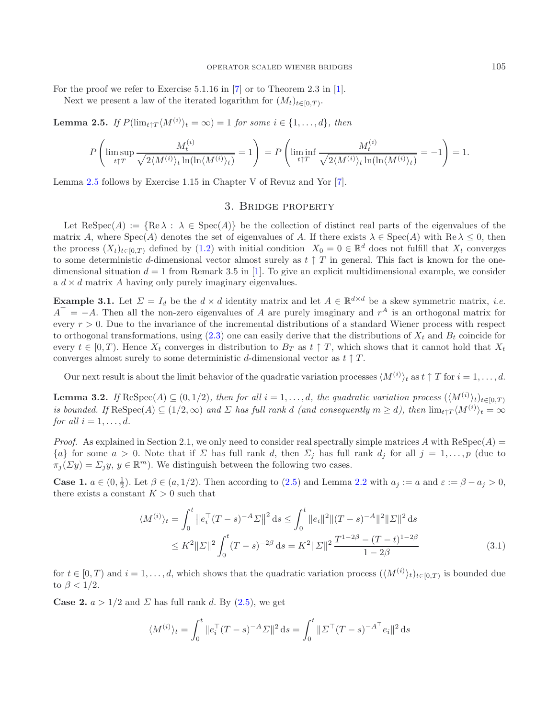<span id="page-5-1"></span>For the proof we refer to Exercise 5.1.16 in [\[7](#page-14-8)] or to Theorem 2.3 in [\[1](#page-14-9)].

Next we present a law of the iterated logarithm for  $(M_t)_{t\in[0,T)}$ .

**Lemma 2.5.** *If*  $P(\lim_{t \uparrow T} \langle M^{(i)} \rangle_t = \infty) = 1$  *for some*  $i \in \{1, ..., d\}$ *, then* 

$$
P\left(\limsup_{t\uparrow T}\frac{M^{(i)}_t}{\sqrt{2\langle M^{(i)}\rangle_t\ln(\ln\langle M^{(i)}\rangle_t)}}=1\right)=P\left(\liminf_{t\uparrow T}\frac{M^{(i)}_t}{\sqrt{2\langle M^{(i)}\rangle_t\ln(\ln\langle M^{(i)}\rangle_t)}}=-1\right)=1.
$$

<span id="page-5-0"></span>Lemma [2.5](#page-5-1) follows by Exercise 1.15 in Chapter V of Revuz and Yor [\[7](#page-14-8)].

#### <span id="page-5-3"></span>3. Bridge property

Let  $\text{Respec}(A) := \{ \text{Re } \lambda : \lambda \in \text{Spec}(A) \}$  be the collection of distinct real parts of the eigenvalues of the matrix A, where  $Spec(A)$  denotes the set of eigenvalues of A. If there exists  $\lambda \in Spec(A)$  with  $Re \lambda \leq 0$ , then the process  $(X_t)_{t\in[0,T)}$  defined by  $(1.2)$  with initial condition  $X_0 = 0 \in \mathbb{R}^d$  does not fulfill that  $X_t$  converges to some deterministic d-dimensional vector almost surely as  $t \uparrow T$  in general. This fact is known for the onedimensional situation  $d = 1$  from Remark 3.5 in [\[1](#page-14-9)]. To give an explicit multidimensional example, we consider a  $d \times d$  matrix A having only purely imaginary eigenvalues.

**Example 3.1.** Let  $\Sigma = I_d$  be the  $d \times d$  identity matrix and let  $A \in \mathbb{R}^{d \times d}$  be a skew symmetric matrix, *i.e.*  $A^{\top} = -A$ . Then all the non-zero eigenvalues of A are purely imaginary and  $r^A$  is an orthogonal matrix for every  $r > 0$ . Due to the invariance of the incremental distributions of a standard Wiener process with respect to orthogonal transformations, using  $(2.3)$  one can easily derive that the distributions of  $X_t$  and  $B_t$  coincide for every  $t \in [0, T)$ . Hence  $X_t$  converges in distribution to  $B_T$  as  $t \uparrow T$ , which shows that it cannot hold that  $X_t$ converges almost surely to some deterministic d-dimensional vector as  $t \uparrow T$ .

Our next result is about the limit behavior of the quadratic variation processes  $\langle M^{(i)} \rangle_t$  as  $t \uparrow T$  for  $i = 1, \ldots, d$ .

<span id="page-5-2"></span>**Lemma 3.2.** *If*  $\text{Respec}(A) \subseteq (0, 1/2)$ *, then for all*  $i = 1, \ldots, d$ *, the quadratic variation process*  $(\langle M^{(i)} \rangle_t)_{t \in [0,T]}$ *is bounded. If*  $\text{Respec}(A) \subseteq (1/2, \infty)$  *and*  $\Sigma$  *has full rank d (and consequently*  $m \ge d$ *), then*  $\lim_{t \uparrow T} \langle M^{(i)} \rangle_t = \infty$ *for all*  $i = 1, \ldots, d$ *.* 

*Proof.* As explained in Section 2.1, we only need to consider real spectrally simple matrices A with  $\text{Respec}(A)$  =  ${a}$  for some  $a > 0$ . Note that if  $\Sigma$  has full rank d, then  $\Sigma_j$  has full rank  $d_j$  for all  $j = 1,\ldots,p$  (due to  $\pi_i(\Sigma y) = \Sigma_i y, y \in \mathbb{R}^m$ . We distinguish between the following two cases.

**Case 1.**  $a \in (0, \frac{1}{2})$ . Let  $\beta \in (a, 1/2)$ . Then according to [\(2.5\)](#page-4-0) and Lemma [2.2](#page-3-1) with  $a_j := a$  and  $\varepsilon := \beta - a_j > 0$ , there exists a constant  $K > 0$  such that there exists a constant  $K > 0$  such that

$$
\langle M^{(i)} \rangle_t = \int_0^t \left\| e_i^{\top} (T - s)^{-A} \Sigma \right\|^2 ds \le \int_0^t \| e_i \|^2 \| (T - s)^{-A} \|^2 \| \Sigma \|^2 ds
$$
  

$$
\le K^2 \| \Sigma \|^2 \int_0^t (T - s)^{-2\beta} ds = K^2 \| \Sigma \|^2 \frac{T^{1 - 2\beta} - (T - t)^{1 - 2\beta}}{1 - 2\beta}
$$
(3.1)

for  $t \in [0, T)$  and  $i = 1, \ldots, d$ , which shows that the quadratic variation process  $(\langle M^{(i)} \rangle_t)_{t \in [0, T)}$  is bounded due to  $\beta < 1/2$ .

**Case 2.**  $a > 1/2$  and  $\Sigma$  has full rank d. By  $(2.5)$ , we get

$$
\langle M^{(i)} \rangle_t = \int_0^t \|e_i^\top (T - s)^{-A} \Sigma\|^2 \, \mathrm{d} s = \int_0^t \|\Sigma^\top (T - s)^{-A^\top} e_i\|^2 \, \mathrm{d} s
$$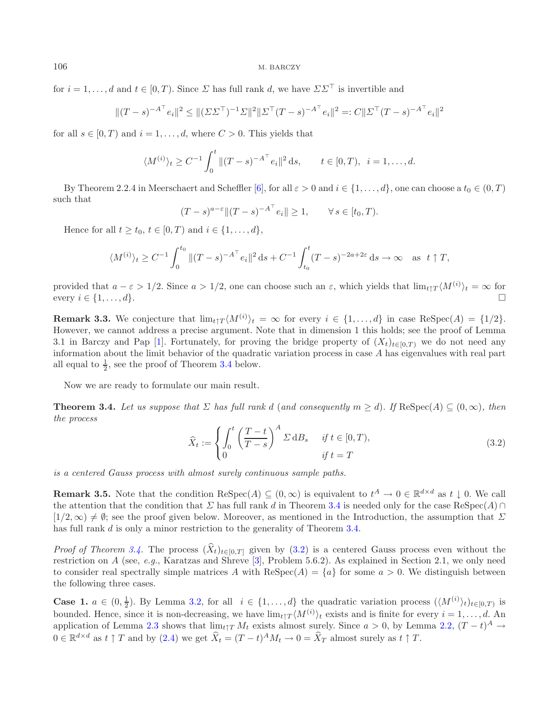for  $i = 1, ..., d$  and  $t \in [0, T)$ . Since  $\Sigma$  has full rank d, we have  $\Sigma \Sigma^{\top}$  is invertible and

$$
\|(T-s)^{-A^\top}e_i\|^2 \leq \|(\Sigma\Sigma^\top)^{-1}\Sigma\|^2 \|\Sigma^\top (T-s)^{-A^\top}e_i\|^2 =: C\|\Sigma^\top (T-s)^{-A^\top}e_i\|^2
$$

for all  $s \in [0, T)$  and  $i = 1, \ldots, d$ , where  $C > 0$ . This yields that

$$
\langle M^{(i)} \rangle_t \ge C^{-1} \int_0^t \| (T - s)^{-A^{\top}} e_i \|^2 ds, \qquad t \in [0, T), \ \ i = 1, \dots, d.
$$

By Theorem 2.2.4 in Meerschaert and Scheffler [\[6](#page-14-7)], for all  $\varepsilon > 0$  and  $i \in \{1, \ldots, d\}$ , one can choose a  $t_0 \in (0, T)$ such that

$$
(T-s)^{a-\varepsilon} \|(T-s)^{-A^\top} e_i\| \ge 1, \qquad \forall s \in [t_0, T).
$$

Hence for all  $t \geq t_0$ ,  $t \in [0, T)$  and  $i \in \{1, \ldots, d\}$ ,

$$
\langle M^{(i)} \rangle_t \ge C^{-1} \int_0^{t_0} \| (T - s)^{-A^\top} e_i \|^2 \, ds + C^{-1} \int_{t_0}^t (T - s)^{-2a + 2\varepsilon} \, ds \to \infty \quad \text{as} \quad t \uparrow T,
$$

<span id="page-6-1"></span>provided that  $a - \varepsilon > 1/2$ . Since  $a > 1/2$ , one can choose such an  $\varepsilon$ , which yields that  $\lim_{t \uparrow T} \langle M^{(i)} \rangle_t = \infty$  for every  $i \in \{1, ..., d\}$ . every  $i \in \{1, \ldots, d\}.$ 

**Remark 3.3.** We conjecture that  $\lim_{t \uparrow T} \langle M^{(i)} \rangle_t = \infty$  for every  $i \in \{1, ..., d\}$  in case ReSpec(A) = {1/2}. However, we cannot address a precise argument. Note that in dimension 1 this holds; see the proof of Lemma 3.1 in Barczy and Pap [\[1\]](#page-14-9). Fortunately, for proving the bridge property of  $(X_t)_{t\in[0,T)}$  we do not need any information about the limit behavior of the quadratic variation process in case A has eigenvalues with real part all equal to  $\frac{1}{2}$ , see the proof of Theorem [3.4](#page-6-0) below.

Now we are ready to formulate our main result.

<span id="page-6-0"></span>**Theorem 3.4.** *Let us suppose that*  $\Sigma$  *has full rank* d (*and consequently*  $m \geq d$ *). If* ReSpec( $A$ )  $\subseteq$  (0, $\infty$ )*, then the process*

$$
\widehat{X}_t := \begin{cases} \int_0^t \left(\frac{T-t}{T-s}\right)^A \Sigma \, \mathrm{d}B_s & \text{if } t \in [0, T), \\ 0 & \text{if } t = T \end{cases} \tag{3.2}
$$

*is a centered Gauss process with almost surely continuous sample paths.*

<span id="page-6-2"></span>**Remark 3.5.** Note that the condition  $\text{Respec}(A) \subseteq (0, \infty)$  is equivalent to  $t^A \to 0 \in \mathbb{R}^{d \times d}$  as  $t \downarrow 0$ . We call the attention that the condition that  $\Sigma$  has full rank d in Theorem [3.4](#page-6-0) is needed only for the case ReSpec(A) ∩  $[1/2,\infty) \neq \emptyset$ ; see the proof given below. Moreover, as mentioned in the Introduction, the assumption that  $\Sigma$ has full rank d is only a minor restriction to the generality of Theorem [3.4.](#page-6-0)

*Proof of Theorem [3.4.](#page-6-0)* The process  $(\hat{X}_t)_{t \in [0,T]}$  given by [\(3.2\)](#page-6-1) is a centered Gauss process even without the protriotion on A (see a.g. Kapatage and Shapes <sup>[2]</sup>, Problem 5.6.2). As evaluated in Section 2.1, we only restriction on A (see, *e.g.*, Karatzas and Shreve [\[3](#page-14-4)], Problem 5.6.2). As explained in Section 2.1, we only need to consider real spectrally simple matrices A with  $\text{Respec}(A) = \{a\}$  for some  $a > 0$ . We distinguish between the following three cases.

**Case 1.**  $a \in (0, \frac{1}{2})$ . By Lemma [3.2,](#page-5-2) for all  $i \in \{1, ..., d\}$  the quadratic variation process  $(\langle M^{(i)} \rangle_t)_{t \in [0,T)}$  is<br>bounded. Hence, gines it is non-degreesing we have  $\lim_{x \to M^{(i)}} (M^{(i)})$ , guists and is finite for eve bounded. Hence, since it is non-decreasing, we have  $\lim_{t \uparrow T} \langle M^{(i)} \rangle_t$  exists and is finite for every  $i = 1, \ldots, d$ . An application of Lemma [2.3](#page-4-1) shows that  $\lim_{t \uparrow T} M_t$  exists almost surely. Since  $a > 0$ , by Lemma [2.2,](#page-3-1)  $(T - t)^A \rightarrow$  $0 \in \mathbb{R}^{d \times d}$  as  $t \uparrow T$  and by  $(2.4)$  we get  $\widehat{X}_t = (T - t)^A M_t \to 0 = \widehat{X}_T$  almost surely as  $t \uparrow T$ .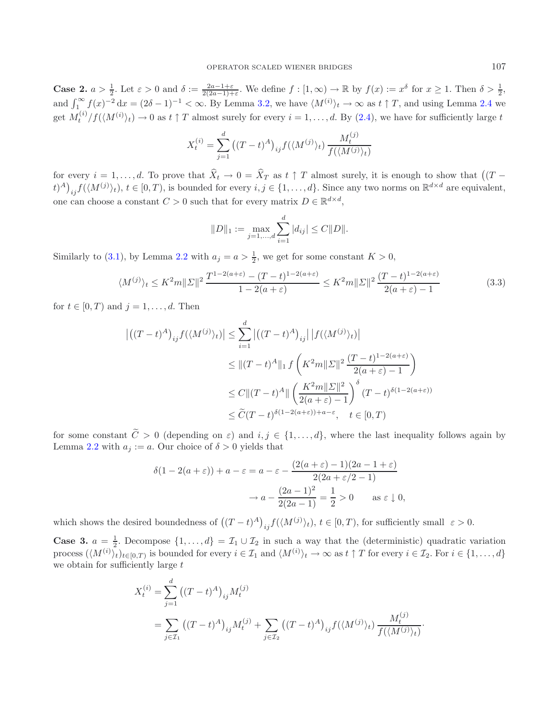**Case 2.**  $a > \frac{1}{2}$ . Let  $\varepsilon > 0$  and  $\delta := \frac{2a-1+\varepsilon}{2(2a-1)+\varepsilon}$ . We define  $f : [1, \infty) \to \mathbb{R}$  by  $f(x) := x^{\delta}$  for  $x \ge 1$ . Then  $\delta > \frac{1}{2}$ , and  $\int_1^{\infty} f(x)^{-2} dx = (2\delta - 1)^{-1} < \infty$ . By Lemma [3.2,](#page-5-2) we have  $\langle M^{(i)} \rangle_t \to \infty$  as  $t \uparrow T$ , and using Lemma [2.4](#page-4-3) we get  $M_t^{(i)}/f(\langle M^{(i)} \rangle_t) \to 0$  as  $t \uparrow T$  almost surely for every  $i = 1, \ldots, d$ . By  $(2.4)$ , we have for sufficiently large  $t$ 

$$
X_t^{(i)} = \sum_{j=1}^d ((T-t)^A)_{ij} f(\langle M^{(j)} \rangle_t) \frac{M_t^{(j)}}{f(\langle M^{(j)} \rangle_t)}
$$

for every  $i = 1, \ldots, d$ . To prove that  $\widehat{X}_t \to 0 = \widehat{X}_T$  as  $t \uparrow T$  almost surely, it is enough to show that  $((T (t)^A\big)_{ij} f(\langle M^{(j)} \rangle_t), t \in [0, T)$ , is bounded for every  $i, j \in \{1, ..., d\}$ . Since any two norms on  $\mathbb{R}^{d \times d}$  are equivalent, one can choose a constant  $C > 0$  such that for every matrix  $D \in \mathbb{R}^{d \times d}$ ,

<span id="page-7-0"></span>
$$
||D||_1 := \max_{j=1,\dots,d} \sum_{i=1}^d |d_{ij}| \le C ||D||.
$$

Similarly to [\(3.1\)](#page-5-3), by Lemma [2.2](#page-3-1) with  $a_j = a > \frac{1}{2}$ , we get for some constant  $K > 0$ ,

$$
\langle M^{(j)} \rangle_t \le K^2 m \| \Sigma \|^2 \frac{T^{1-2(a+\varepsilon)} - (T-t)^{1-2(a+\varepsilon)}}{1-2(a+\varepsilon)} \le K^2 m \| \Sigma \|^2 \frac{(T-t)^{1-2(a+\varepsilon)}}{2(a+\varepsilon)-1}
$$
(3.3)

for  $t \in [0, T)$  and  $j = 1, \ldots, d$ . Then

$$
\left| \left( (T-t)^A \right)_{ij} f(\langle M^{(j)} \rangle_t) \right| \leq \sum_{i=1}^d \left| \left( (T-t)^A \right)_{ij} \right| \left| f(\langle M^{(j)} \rangle_t) \right|
$$
  

$$
\leq \| (T-t)^A \|_1 f\left( K^2 m \| \Sigma \|^2 \frac{(T-t)^{1-2(a+\varepsilon)}}{2(a+\varepsilon)-1} \right)
$$
  

$$
\leq C \| (T-t)^A \| \left( \frac{K^2 m \| \Sigma \|^2}{2(a+\varepsilon)-1} \right)^{\delta} (T-t)^{\delta(1-2(a+\varepsilon))}
$$
  

$$
\leq \widetilde{C} (T-t)^{\delta(1-2(a+\varepsilon)) + a-\varepsilon}, \quad t \in [0, T)
$$

for some constant  $\tilde{C} > 0$  (depending on  $\varepsilon$ ) and  $i, j \in \{1, ..., d\}$ , where the last inequality follows again by Lemma [2.2](#page-3-1) with  $a_j := a$ . Our choice of  $\delta > 0$  yields that

$$
\delta(1 - 2(a + \varepsilon)) + a - \varepsilon = a - \varepsilon - \frac{(2(a + \varepsilon) - 1)(2a - 1 + \varepsilon)}{2(2a + \varepsilon/2 - 1)}
$$

$$
\to a - \frac{(2a - 1)^2}{2(2a - 1)} = \frac{1}{2} > 0 \quad \text{as } \varepsilon \downarrow 0,
$$

which shows the desired boundedness of  $((T-t)^{A})_{ij} f(\langle M^{(j)} \rangle_{t}), t \in [0, T)$ , for sufficiently small  $\varepsilon > 0$ .

**Case 3.**  $a = \frac{1}{2}$ . Decompose  $\{1, ..., d\} = \mathcal{I}_1 \cup \mathcal{I}_2$  in such a way that the (deterministic) quadratic variation process  $(\mathcal{M}^{(i)})_{i,j}$  is a subsymbol for every  $i \in \mathcal{I}_2$  and  $(\mathcal{M}^{(i)})_{i,j}$  is a set  $i \in \mathcal{$ process  $(\langle M^{(i)} \rangle_t)_{t \in [0,T)}$  is bounded for every  $i \in \mathcal{I}_1$  and  $\langle M^{(i)} \rangle_t \to \infty$  as  $t \uparrow T$  for every  $i \in \mathcal{I}_2$ . For  $i \in \{1, \ldots, d\}$ we obtain for sufficiently large  $t$ 

$$
X_t^{(i)} = \sum_{j=1}^d ((T-t)^A)_{ij} M_t^{(j)}
$$
  
= 
$$
\sum_{j \in \mathcal{I}_1} ((T-t)^A)_{ij} M_t^{(j)} + \sum_{j \in \mathcal{I}_2} ((T-t)^A)_{ij} f(\langle M^{(j)} \rangle_t) \frac{M_t^{(j)}}{f(\langle M^{(j)} \rangle_t)}
$$

·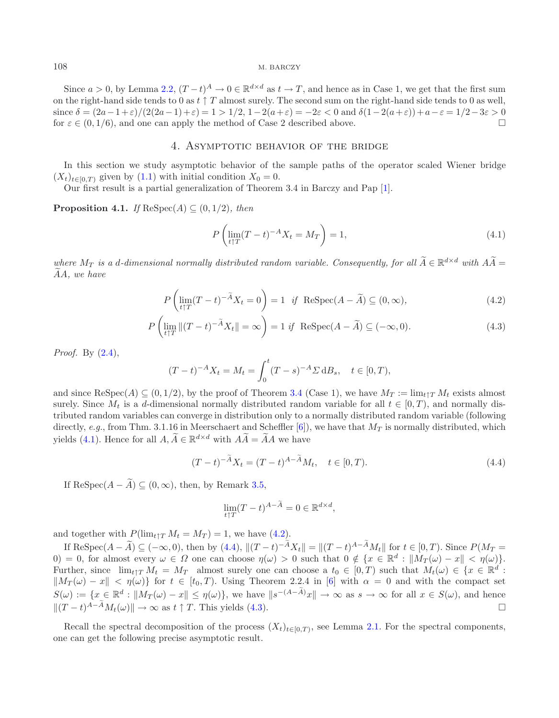Since  $a > 0$ , by Lemma [2.2,](#page-3-1)  $(T-t)^A \to 0 \in \mathbb{R}^{d \times d}$  as  $t \to T$ , and hence as in Case 1, we get that the first sum on the right-hand side tends to 0 as  $t \uparrow T$  almost surely. The second sum on the right-hand side tends to 0 as well, since  $\delta = (2a-1+\varepsilon)/(2(2a-1)+\varepsilon) = 1 > 1/2, 1-2(a+\varepsilon) = -2\varepsilon < 0$  and  $\delta(1-2(a+\varepsilon)) + a-\varepsilon = 1/2-3\varepsilon > 0$ for  $\varepsilon \in (0, 1/6)$ , and one can apply the method of Case 2 described above.

#### 4. Asymptotic behavior of the bridge

<span id="page-8-0"></span>In this section we study asymptotic behavior of the sample paths of the operator scaled Wiener bridge  $(X_t)_{t\in[0,T)}$  given by  $(1.1)$  with initial condition  $X_0 = 0$ .

Our first result is a partial generalization of Theorem 3.4 in Barczy and Pap [\[1\]](#page-14-9).

**Proposition 4.1.** *If*  $\text{ReSpec}(A) \subseteq (0, 1/2)$ *, then* 

<span id="page-8-4"></span><span id="page-8-3"></span><span id="page-8-2"></span><span id="page-8-1"></span>
$$
P\left(\lim_{t\uparrow T}(T-t)^{-A}X_t = M_T\right) = 1,\tag{4.1}
$$

*where*  $M_T$  *is a d-dimensional normally distributed random variable. Consequently, for all*  $\widetilde{A} \in \mathbb{R}^{d \times d}$  *with*  $A\widetilde{A} =$ AA, we have

$$
P\left(\lim_{t\uparrow T}(T-t)^{-\widetilde{A}}X_t=0\right)=1 \quad \text{if} \quad \text{Respec}(A-\widetilde{A})\subseteq (0,\infty),\tag{4.2}
$$

$$
P\left(\lim_{t\uparrow T} \|(T-t)^{-\tilde{A}}X_t\| = \infty\right) = 1 \text{ if } \operatorname{Respec}(A - \tilde{A}) \subseteq (-\infty, 0). \tag{4.3}
$$

*Proof.* By [\(2.4\)](#page-4-2),

$$
(T-t)^{-A}X_t = M_t = \int_0^t (T-s)^{-A} \Sigma \, dB_s, \quad t \in [0, T),
$$

and since  $\text{Respec}(A) \subseteq (0, 1/2)$ , by the proof of Theorem [3.4](#page-6-0) (Case 1), we have  $M_T := \lim_{t \uparrow T} M_t$  exists almost surely. Since  $M_t$  is a d-dimensional normally distributed random variable for all  $t \in [0, T)$ , and normally distributed random variables can converge in distribution only to a normally distributed random variable (following directly, *e.g.*, from Thm. 3.1.16 in Meerschaert and Scheffler  $[6]$ , we have that  $M_T$  is normally distributed, which yields [\(4.1\)](#page-8-1). Hence for all  $A, \widetilde{A} \in \mathbb{R}^{d \times d}$  with  $A\widetilde{A} = \widetilde{A}A$  we have

$$
(T-t)^{-\tilde{A}}X_t = (T-t)^{A-\tilde{A}}M_t, \quad t \in [0,T). \tag{4.4}
$$

If ReSpec( $A - \widetilde{A}$ ) ⊂ (0, ∞), then, by Remark [3.5,](#page-6-2)

$$
\lim_{t \uparrow T} (T - t)^{A - \tilde{A}} = 0 \in \mathbb{R}^{d \times d},
$$

and together with  $P(\lim_{t \uparrow T} M_t = M_T) = 1$ , we have [\(4.2\)](#page-8-2).

If ReSpec( $A - \tilde{A}$ )  $\subseteq (-\infty, 0)$ , then by [\(4.4\)](#page-8-3),  $||(T - t)^{-\tilde{A}}X_t|| = ||(T - t)^{A - \tilde{A}}M_t||$  for  $t \in [0, T)$ . Since  $P(M_T =$ 0) = 0, for almost every  $\omega \in \Omega$  one can choose  $\eta(\omega) > 0$  such that  $0 \notin \{x \in \mathbb{R}^d : ||M_T(\omega) - x|| < \eta(\omega)\}.$ Further, since  $\lim_{t\uparrow T} M_t = M_T$  almost surely one can choose a  $t_0 \in [0,T)$  such that  $M_t(\omega) \in \{x \in \mathbb{R}^d :$  $||M_T(\omega) - x|| < \eta(\omega)$  for  $t \in [t_0, T)$ . Using Theorem 2.2.4 in [\[6](#page-14-7)] with  $\alpha = 0$  and with the compact set  $S(\omega) := \{x \in \mathbb{R}^d : \|M_T(\omega) - x\| \leq \eta(\omega)\},\$  we have  $\|s^{-(A-\tilde{A})}x\| \to \infty$  as  $s \to \infty$  for all  $x \in S(\omega),$  and hence  $||(T-t)^{A-\tilde{A}}M_t(\omega)|| \to \infty$  as  $t \uparrow T$ . This yields [\(4.3\)](#page-8-4).

Recall the spectral decomposition of the process  $(X_t)_{t\in[0,T)}$ , see Lemma [2.1.](#page-2-1) For the spectral components, one can get the following precise asymptotic result.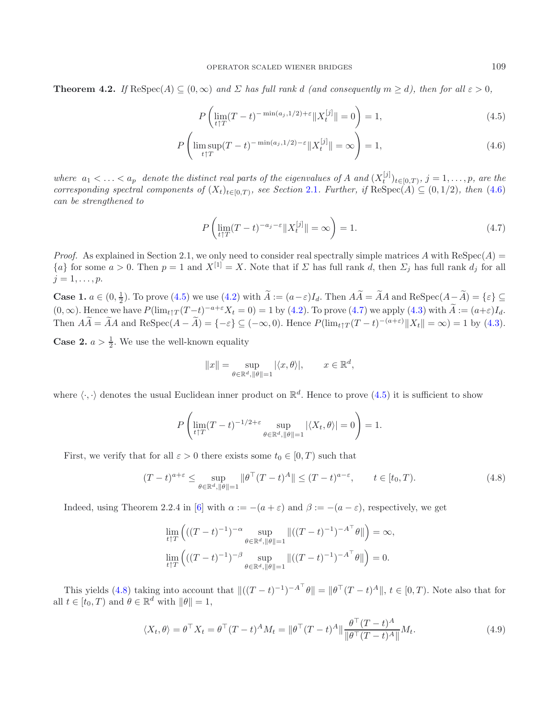**Theorem 4.2.** *If*  $\text{Respec}(A) \subseteq (0, \infty)$  *and*  $\Sigma$  *has full rank d (and consequently*  $m \geq d$ *), then for all*  $\varepsilon > 0$ *,* 

$$
P\left(\lim_{t \uparrow T} (T-t)^{-\min(a_j,1/2)+\varepsilon} \|X_t^{[j]}\| = 0\right) = 1,
$$
\n(4.5)

$$
P\left(\limsup_{t \uparrow T} (T-t)^{-\min(a_j,1/2)-\varepsilon} \|X_t^{[j]}\| = \infty\right) = 1,
$$
\n(4.6)

*where*  $a_1 \lt \ldots \lt a_p$  denote the distinct real parts of the eigenvalues of A and  $(X_i^{[j]})_{t \in [0,T)}$ ,  $j = 1, \ldots, p$ , are the corresponding engated components of  $(X)$ ,  $\ldots$ , are see Section 2.1. Eurther if  $\text{Bekn}(\Lambda) \subset (0,$ *corresponding spectral components of*  $(X_t)_{t\in[0,T)}$ *, see Section* [2.1](#page-2-4)*. Further, if* ReSpec(A)  $\subseteq$  (0, 1/2)*, then* [\(4.6\)](#page-9-0) *can be strengthened to*

$$
P\left(\lim_{t\uparrow T} (T-t)^{-a_j-\varepsilon} \|X_t^{[j]}\| = \infty\right) = 1.
$$
\n(4.7)

*Proof.* As explained in Section 2.1, we only need to consider real spectrally simple matrices A with  $\text{Respec}(A)$  =  ${a}$  for some  $a > 0$ . Then  $p = 1$  and  $X^{[1]} = X$ . Note that if  $\Sigma$  has full rank d, then  $\Sigma_j$  has full rank  $d_j$  for all  $j=1,\ldots,p.$ 

**Case 1.**  $a \in (0, \frac{1}{2})$ . To prove [\(4.5\)](#page-9-1) we use [\(4.2\)](#page-8-2) with  $\widetilde{A} := (a - \varepsilon)I_d$ . Then  $A\widetilde{A} = \widetilde{A}A$  and ReSpec( $A - \widetilde{A}$ ) = { $\varepsilon$ } ⊆  $(0, \infty)$ . Hence we have  $P(\lim_{t \uparrow T} (T-t)^{-a+\epsilon} X_t = 0) = 1$  by [\(4.2\)](#page-8-2). To prove [\(4.7\)](#page-9-2) we apply [\(4.3\)](#page-8-4) with  $\widetilde{A} := (a+\epsilon)I_d$ . Then  $\widetilde{AA} = \widetilde{A}A$  and  $\text{Respec}(A - \widetilde{A}) = \{-\varepsilon\} \subseteq (-\infty, 0)$ . Hence  $P(\lim_{t \uparrow T} (T - t)^{-(a+\varepsilon)} ||X_t|| = \infty) = 1$  by [\(4.3\)](#page-8-4).

**Case 2.**  $a > \frac{1}{2}$ . We use the well-known equality

<span id="page-9-4"></span><span id="page-9-3"></span>
$$
||x|| = \sup_{\theta \in \mathbb{R}^d, \|\theta\| = 1} |\langle x, \theta \rangle|, \qquad x \in \mathbb{R}^d,
$$

where  $\langle \cdot, \cdot \rangle$  denotes the usual Euclidean inner product on  $\mathbb{R}^d$ . Hence to prove  $(4.5)$  it is sufficient to show

$$
P\left(\lim_{t\uparrow T}(T-t)^{-1/2+\varepsilon}\sup_{\theta\in\mathbb{R}^d, \|\theta\|=1}|\langle X_t,\theta\rangle|=0\right)=1.
$$

First, we verify that for all  $\varepsilon > 0$  there exists some  $t_0 \in [0, T)$  such that

$$
(T-t)^{a+\varepsilon} \le \sup_{\theta \in \mathbb{R}^d, \|\theta\|=1} \|\theta^\top (T-t)^A\| \le (T-t)^{a-\varepsilon}, \qquad t \in [t_0, T). \tag{4.8}
$$

Indeed, using Theorem 2.2.4 in [\[6\]](#page-14-7) with  $\alpha := -(a + \varepsilon)$  and  $\beta := -(a - \varepsilon)$ , respectively, we get

$$
\lim_{t \uparrow T} \left( ((T-t)^{-1})^{-\alpha} \sup_{\theta \in \mathbb{R}^d, \|\theta\|=1} \|((T-t)^{-1})^{-A^\top} \theta\| \right) = \infty,
$$
  

$$
\lim_{t \uparrow T} \left( ((T-t)^{-1})^{-\beta} \sup_{\theta \in \mathbb{R}^d, \|\theta\|=1} \|((T-t)^{-1})^{-A^\top} \theta\| \right) = 0.
$$

This yields [\(4.8\)](#page-9-3) taking into account that  $\|((T-t)^{-1})^{-A^{\top}}\theta\| = \|\theta^{\top}(T-t)^{A}\|, t \in [0,T)$ . Note also that for all  $t \in [t_0, T)$  and  $\theta \in \mathbb{R}^d$  with  $\|\theta\| = 1$ ,

$$
\langle X_t, \theta \rangle = \theta^\top X_t = \theta^\top (T-t)^A M_t = \|\theta^\top (T-t)^A\| \frac{\theta^\top (T-t)^A}{\|\theta^\top (T-t)^A\|} M_t. \tag{4.9}
$$

<span id="page-9-2"></span><span id="page-9-1"></span><span id="page-9-0"></span>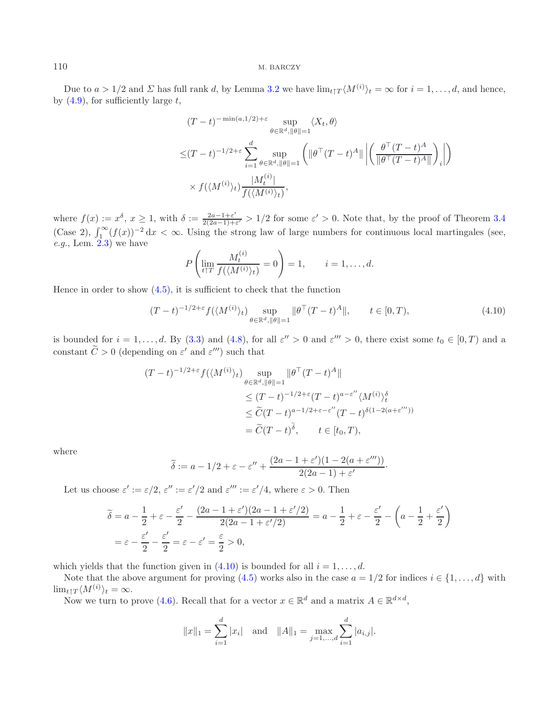Due to  $a > 1/2$  and  $\Sigma$  has full rank d, by Lemma [3.2](#page-5-2) we have  $\lim_{t \uparrow T} \langle M^{(i)} \rangle_t = \infty$  for  $i = 1, \ldots, d$ , and hence, by  $(4.9)$ , for sufficiently large t,

<span id="page-10-0"></span>
$$
(T-t)^{-\min(a,1/2)+\varepsilon} \sup_{\theta \in \mathbb{R}^d, \|\theta\|=1} \langle X_t, \theta \rangle
$$
  

$$
\leq (T-t)^{-1/2+\varepsilon} \sum_{i=1}^d \sup_{\theta \in \mathbb{R}^d, \|\theta\|=1} \left( \|\theta^\top (T-t)^A\| \left| \left( \frac{\theta^\top (T-t)^A}{\|\theta^\top (T-t)^A\|} \right)_i \right| \right)
$$
  

$$
\times f(\langle M^{(i)} \rangle_t) \frac{|M_t^{(i)}|}{f(\langle M^{(i)} \rangle_t)},
$$

where  $f(x) := x^{\delta}$ ,  $x \ge 1$ , with  $\delta := \frac{2a-1+\varepsilon'}{2(2a-1)+\varepsilon'} > 1/2$  for some  $\varepsilon' > 0$ . Note that, by the proof of Theorem [3.4](#page-6-0) (Case 2),  $\int_{1}^{\infty} (f(x))^{-2} dx < \infty$ . Using the strong law of large numbers for continuous loca *e.g.*, Lem. [2.3\)](#page-4-1) we have

$$
P\left(\lim_{t\uparrow T}\frac{M_t^{(i)}}{f(\langle M^{(i)}\rangle_t)}=0\right)=1,\qquad i=1,\ldots,d.
$$

Hence in order to show  $(4.5)$ , it is sufficient to check that the function

$$
(T-t)^{-1/2+\varepsilon} f(\langle M^{(i)} \rangle_t) \sup_{\theta \in \mathbb{R}^d, \|\theta\|=1} \|\theta^\top (T-t)^A\|, \qquad t \in [0,T), \tag{4.10}
$$

is bounded for  $i = 1, \ldots, d$ . By [\(3.3\)](#page-7-0) and [\(4.8\)](#page-9-3), for all  $\varepsilon'' > 0$  and  $\varepsilon''' > 0$ , there exist some  $t_0 \in [0, T)$  and a constant  $\widetilde{C} > 0$  (depending on  $\varepsilon'$  and  $\varepsilon'''$ ) such that

$$
(T-t)^{-1/2+\varepsilon} f(\langle M^{(i)} \rangle_t) \sup_{\theta \in \mathbb{R}^d, \|\theta\|=1} \|\theta^\top (T-t)^A\|
$$
  
\n
$$
\leq (T-t)^{-1/2+\varepsilon} (T-t)^{a-\varepsilon''} \langle M^{(i)} \rangle_t^{\delta}
$$
  
\n
$$
\leq \widetilde{C} (T-t)^{a-1/2+\varepsilon-\varepsilon''} (T-t)^{\delta(1-2(a+\varepsilon'''))}
$$
  
\n
$$
= \widetilde{C} (T-t)^{\widetilde{\delta}}, \qquad t \in [t_0, T),
$$

where

$$
\widetilde{\delta} := a - 1/2 + \varepsilon - \varepsilon'' + \frac{(2a - 1 + \varepsilon')(1 - 2(a + \varepsilon'''))}{2(2a - 1) + \varepsilon'}.
$$

Let us choose  $\varepsilon' := \varepsilon/2$ ,  $\varepsilon'' := \varepsilon'/2$  and  $\varepsilon''' := \varepsilon'/4$ , where  $\varepsilon > 0$ . Then

$$
\widetilde{\delta} = a - \frac{1}{2} + \varepsilon - \frac{\varepsilon'}{2} - \frac{(2a - 1 + \varepsilon')(2a - 1 + \varepsilon'/2)}{2(2a - 1 + \varepsilon'/2)} = a - \frac{1}{2} + \varepsilon - \frac{\varepsilon'}{2} - \left(a - \frac{1}{2} + \frac{\varepsilon'}{2}\right)
$$
\n
$$
= \varepsilon - \frac{\varepsilon'}{2} - \frac{\varepsilon'}{2} = \varepsilon - \varepsilon' = \frac{\varepsilon}{2} > 0,
$$

which yields that the function given in [\(4.10\)](#page-10-0) is bounded for all  $i = 1, \ldots, d$ .

Note that the above argument for proving [\(4.5\)](#page-9-1) works also in the case  $a = 1/2$  for indices  $i \in \{1, \ldots, d\}$  with  $\lim_{t \uparrow T} \langle M^{(i)} \rangle_t = \infty.$ 

Now we turn to prove [\(4.6\)](#page-9-0). Recall that for a vector  $x \in \mathbb{R}^d$  and a matrix  $A \in \mathbb{R}^{d \times d}$ ,

$$
||x||_1 = \sum_{i=1}^d |x_i|
$$
 and  $||A||_1 = \max_{j=1,\dots,d} \sum_{i=1}^d |a_{i,j}|$ .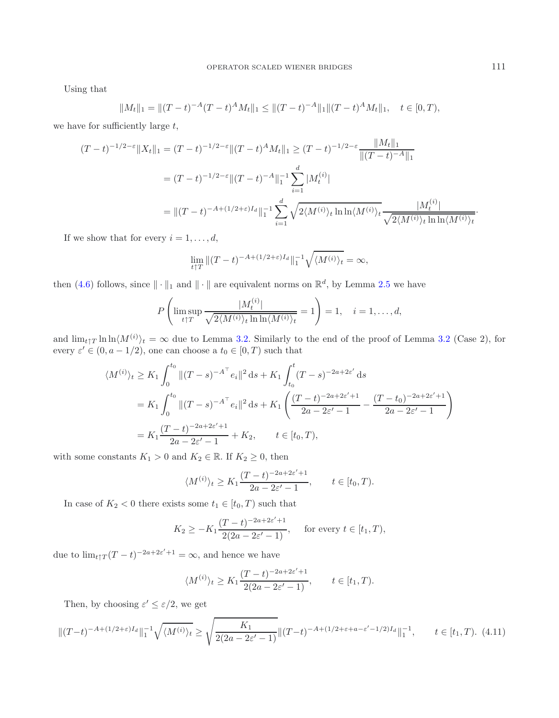Using that

$$
||M_t||_1 = ||(T-t)^{-A}(T-t)^{A}M_t||_1 \le ||(T-t)^{-A}||_1 ||(T-t)^{A}M_t||_1, \quad t \in [0, T),
$$

we have for sufficiently large  $t$ ,

$$
(T-t)^{-1/2-\varepsilon} \|X_t\|_1 = (T-t)^{-1/2-\varepsilon} \|(T-t)^A M_t\|_1 \ge (T-t)^{-1/2-\varepsilon} \frac{\|M_t\|_1}{\|(T-t)^{-A}\|_1}
$$
  

$$
= (T-t)^{-1/2-\varepsilon} \|(T-t)^{-A}\|_1^{-1} \sum_{i=1}^d |M_t^{(i)}|
$$
  

$$
= \|(T-t)^{-A+(1/2+\varepsilon)I_d}\|_1^{-1} \sum_{i=1}^d \sqrt{2\langle M^{(i)}\rangle_t \ln \ln \langle M^{(i)}\rangle_t} \frac{|M_t^{(i)}|}{\sqrt{2\langle M^{(i)}\rangle_t \ln \ln \langle M^{(i)}\rangle_t}}
$$

If we show that for every  $i = 1, \ldots, d$ ,

$$
\lim_{t \uparrow T} \|(T-t)^{-A + (1/2 + \varepsilon)I_d}\|_1^{-1} \sqrt{\langle M^{(i)} \rangle_t} = \infty,
$$

then [\(4.6\)](#page-9-0) follows, since  $\|\cdot\|_1$  and  $\|\cdot\|$  are equivalent norms on  $\mathbb{R}^d$ , by Lemma [2.5](#page-5-1) we have

$$
P\left(\limsup_{t\uparrow T} \frac{|M_t^{(i)}|}{\sqrt{2\langle M^{(i)}\rangle_t \ln \ln \langle M^{(i)}\rangle_t}} = 1\right) = 1, \quad i = 1, \dots, d,
$$

and  $\lim_{t \uparrow T} \ln \ln \langle M^{(i)} \rangle_t = \infty$  due to Lemma [3.2.](#page-5-2) Similarly to the end of the proof of Lemma [3.2](#page-5-2) (Case 2), for every  $\varepsilon' \in (0, a - 1/2)$ , one can choose a  $t_0 \in [0, T)$  such that

$$
\langle M^{(i)} \rangle_t \ge K_1 \int_0^{t_0} ||(T-s)^{-A^\top} e_i||^2 ds + K_1 \int_{t_0}^t (T-s)^{-2a+2\varepsilon'} ds
$$
  
=  $K_1 \int_0^{t_0} ||(T-s)^{-A^\top} e_i||^2 ds + K_1 \left( \frac{(T-t)^{-2a+2\varepsilon'+1}}{2a-2\varepsilon'-1} - \frac{(T-t_0)^{-2a+2\varepsilon'+1}}{2a-2\varepsilon'-1} \right)$   
=  $K_1 \frac{(T-t)^{-2a+2\varepsilon'+1}}{2a-2\varepsilon'-1} + K_2, \qquad t \in [t_0, T),$ 

with some constants  $K_1 > 0$  and  $K_2 \in \mathbb{R}$ . If  $K_2 \geq 0$ , then

<span id="page-11-0"></span>
$$
\langle M^{(i)} \rangle_t \ge K_1 \frac{(T-t)^{-2a+2\varepsilon'+1}}{2a-2\varepsilon'-1}, \qquad t \in [t_0, T).
$$

In case of  $K_2 < 0$  there exists some  $t_1 \in [t_0, T)$  such that

$$
K_2 \ge -K_1 \frac{(T-t)^{-2a+2\varepsilon'+1}}{2(2a-2\varepsilon'-1)}, \quad \text{ for every } t \in [t_1, T),
$$

due to  $\lim_{t \uparrow T} (T - t)^{-2a + 2\varepsilon' + 1} = \infty$ , and hence we have

$$
\langle M^{(i)} \rangle_t \ge K_1 \frac{(T-t)^{-2a+2\varepsilon'+1}}{2(2a-2\varepsilon'-1)}, \qquad t \in [t_1, T).
$$

Then, by choosing  $\varepsilon' \leq \varepsilon/2$ , we get

$$
\|(T-t)^{-A+(1/2+\varepsilon)I_d}\|_1^{-1}\sqrt{\langle M^{(i)}\rangle_t} \ge \sqrt{\frac{K_1}{2(2a-2\varepsilon'-1)}}\|(T-t)^{-A+(1/2+\varepsilon+a-\varepsilon'-1/2)I_d}\|_1^{-1}, \qquad t \in [t_1, T). \tag{4.11}
$$

·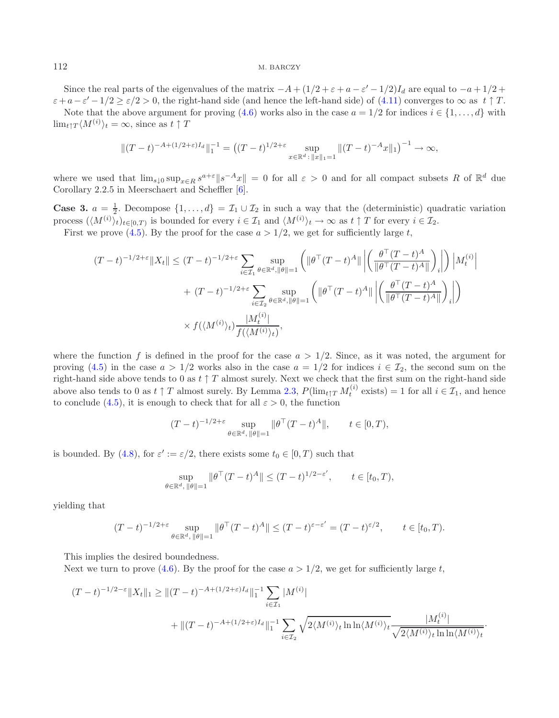Since the real parts of the eigenvalues of the matrix  $-A+(1/2+\varepsilon+a-\varepsilon'-1/2)I_d$  are equal to  $-a+1/2+$  $\varepsilon+a-\varepsilon'-1/2 > \varepsilon/2 > 0$ , the right-hand side (and hence the left-hand side) of [\(4.11\)](#page-11-0) converges to  $\infty$  as  $t \uparrow T$ .

Note that the above argument for proving [\(4.6\)](#page-9-0) works also in the case  $a = 1/2$  for indices  $i \in \{1, ..., d\}$  with  $\lim_{t \uparrow T} \langle M^{(i)} \rangle_t = \infty$ , since as  $t \uparrow T$ 

$$
||(T-t)^{-A+(1/2+\varepsilon)I_d}||_1^{-1} = ((T-t)^{1/2+\varepsilon} \sup_{x \in \mathbb{R}^d : ||x||_1 = 1} ||(T-t)^{-A}x||_1)^{-1} \to \infty,
$$

where we used that  $\lim_{s\downarrow 0} \sup_{x\in R} s^{a+\varepsilon}||s^{-A}x|| = 0$  for all  $\varepsilon > 0$  and for all compact subsets R of  $\mathbb{R}^d$  due Corollary 2.2.5 in Meerschaert and Scheffler [\[6](#page-14-7)].

**Case 3.**  $a = \frac{1}{2}$ . Decompose  $\{1, ..., d\} = \mathcal{I}_1 \cup \mathcal{I}_2$  in such a way that the (deterministic) quadratic variation process  $(\mathcal{M}^{(i)})_{i,j}$  is not bounded for every  $i \in \mathcal{I}_2$  and  $(\mathcal{M}^{(i)})_{i,j}$  as as  $t \uparrow \mathcal{I}_$ process  $(\langle M^{(i)} \rangle_t)_{t \in [0,T)}$  is bounded for every  $i \in \mathcal{I}_1$  and  $\langle M^{(i)} \rangle_t \to \infty$  as  $t \uparrow T$  for every  $i \in \mathcal{I}_2$ .

First we prove [\(4.5\)](#page-9-1). By the proof for the case  $a > 1/2$ , we get for sufficiently large t,

$$
(T-t)^{-1/2+\varepsilon} \|X_t\| \le (T-t)^{-1/2+\varepsilon} \sum_{i \in \mathcal{I}_1} \sup_{\theta \in \mathbb{R}^d, \|\theta\|=1} \left( \|\theta^{\top} (T-t)^A\| \left| \left( \frac{\theta^{\top} (T-t)^A}{\|\theta^{\top} (T-t)^A\|} \right)_i \right| \right) \left| M_t^{(i)} \right|
$$
  
+ 
$$
(T-t)^{-1/2+\varepsilon} \sum_{i \in \mathcal{I}_2} \sup_{\theta \in \mathbb{R}^d, \|\theta\|=1} \left( \|\theta^{\top} (T-t)^A\| \left| \left( \frac{\theta^{\top} (T-t)^A}{\|\theta^{\top} (T-t)^A\|} \right)_i \right| \right)
$$
  

$$
\times f(\langle M^{(i)} \rangle_t) \frac{|M_t^{(i)}|}{f(\langle M^{(i)} \rangle_t)},
$$

where the function f is defined in the proof for the case  $a > 1/2$ . Since, as it was noted, the argument for proving [\(4.5\)](#page-9-1) in the case  $a > 1/2$  works also in the case  $a = 1/2$  for indices  $i \in \mathcal{I}_2$ , the second sum on the right-hand side above tends to 0 as  $t \uparrow T$  almost surely. Next we check that the first sum on the right-hand side above also tends to 0 as  $t \uparrow T$  almost surely. By Lemma [2.3,](#page-4-1)  $P(\lim_{t \uparrow T} M_t^{(i)}$  exists) = 1 for all  $i \in \mathcal{I}_1$ , and hence to conclude [\(4.5\)](#page-9-1), it is enough to check that for all  $\varepsilon > 0$ , the function

$$
(T-t)^{-1/2+\varepsilon} \sup_{\theta \in \mathbb{R}^d, \|\theta\|=1} \|\theta^\top (T-t)^A\|, \qquad t \in [0,T),
$$

is bounded. By [\(4.8\)](#page-9-3), for  $\varepsilon' := \varepsilon/2$ , there exists some  $t_0 \in [0, T)$  such that

$$
\sup_{\theta \in \mathbb{R}^d, \|\theta\|=1} \|\theta^\top (T-t)^A\| \le (T-t)^{1/2-\varepsilon'}, \qquad t \in [t_0, T),
$$

yielding that

$$
(T-t)^{-1/2+\varepsilon} \sup_{\theta \in \mathbb{R}^d, \|\theta\|=1} \|\theta^\top (T-t)^A\| \le (T-t)^{\varepsilon-\varepsilon'} = (T-t)^{\varepsilon/2}, \qquad t \in [t_0, T).
$$

This implies the desired boundedness.

Next we turn to prove [\(4.6\)](#page-9-0). By the proof for the case  $a > 1/2$ , we get for sufficiently large t,

$$
(T-t)^{-1/2-\varepsilon} \|X_t\|_1 \ge \| (T-t)^{-A+(1/2+\varepsilon)I_d} \|_1^{-1} \sum_{i \in \mathcal{I}_1} |M^{(i)}|
$$
  
 
$$
+ \| (T-t)^{-A+(1/2+\varepsilon)I_d} \|_1^{-1} \sum_{i \in \mathcal{I}_2} \sqrt{2 \langle M^{(i)} \rangle_t \ln \ln \langle M^{(i)} \rangle_t} \frac{|M_t^{(i)}|}{\sqrt{2 \langle M^{(i)} \rangle_t \ln \ln \langle M^{(i)} \rangle_t}}.
$$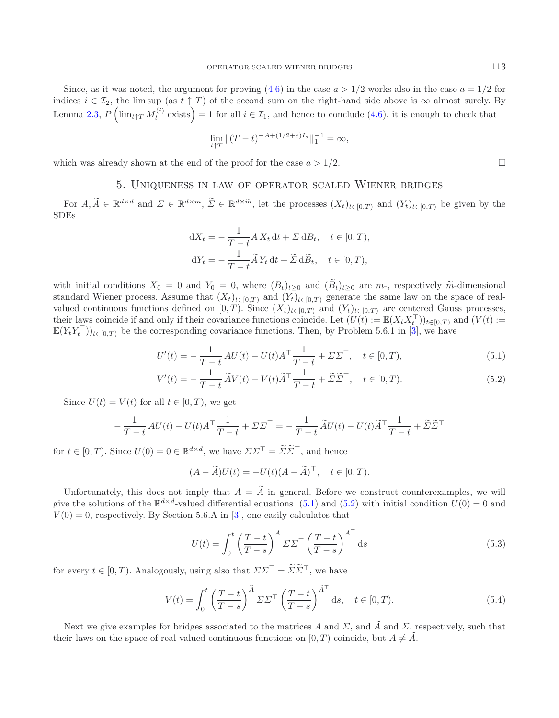Since, as it was noted, the argument for proving  $(4.6)$  in the case  $a > 1/2$  works also in the case  $a = 1/2$  for indices  $i \in \mathcal{I}_2$ , the lim sup (as  $t \uparrow T$ ) of the second sum on the right-hand side above is  $\infty$  almost surely. By Lemma [2.3,](#page-4-1)  $P\left(\lim_{t\uparrow T}M_t^{(i)}\right)$  exists  $=1$  for all  $i\in\mathcal{I}_1$ , and hence to conclude  $(4.6)$ , it is enough to check that

$$
\lim_{t \uparrow T} \|(T-t)^{-A + (1/2 + \varepsilon)I_d}\|_1^{-1} = \infty,
$$

<span id="page-13-0"></span>which was already shown at the end of the proof for the case  $a > 1/2$ .

### 5. Uniqueness in law of operator scaled Wiener bridges

For  $A, \widetilde{A} \in \mathbb{R}^{d \times d}$  and  $\Sigma \in \mathbb{R}^{d \times m}$ ,  $\widetilde{\Sigma} \in \mathbb{R}^{d \times \widetilde{m}}$ , let the processes  $(X_t)_{t \in [0,T]}$  and  $(Y_t)_{t \in [0,T]}$  be given by the SDEs

$$
dX_t = -\frac{1}{T-t} A X_t dt + \Sigma dB_t, \quad t \in [0, T),
$$
  

$$
dY_t = -\frac{1}{T-t} \widetilde{A} Y_t dt + \widetilde{\Sigma} d\widetilde{B}_t, \quad t \in [0, T),
$$

with initial conditions  $X_0 = 0$  and  $Y_0 = 0$ , where  $(B_t)_{t>0}$  and  $(\widetilde{B}_t)_{t>0}$  are  $m$ -, respectively  $\widetilde{m}$ -dimensional standard Wiener process. Assume that  $(X_t)_{t\in[0,T)}$  and  $(Y_t)_{t\in[0,T)}$  generate the same law on the space of realvalued continuous functions defined on [0, T). Since  $(X_t)_{t\in[0,T]}$  and  $(Y_t)_{t\in[0,T]}$  are centered Gauss processes, their laws coincide if and only if their covariance functions coincide. Let  $(U(t) := \mathbb{E}(X_t X_t^{\top}))_{t \in [0,T)}$  and  $(V(t) :=$ <br> $\mathbb{E}(X V^{\top})$  is the corresponding covariance functions. Then, by Pushlom 5.6.1 in [2], we have  $\mathbb{E}(Y_t Y_t^{\top})_{t\in[0,T)}$  be the corresponding covariance functions. Then, by Problem 5.6.1 in [\[3](#page-14-4)], we have

$$
U'(t) = -\frac{1}{T-t}AU(t) - U(t)A^{\top}\frac{1}{T-t} + \Sigma\Sigma^{\top}, \quad t \in [0, T),
$$
\n(5.1)

$$
V'(t) = -\frac{1}{T-t}\widetilde{A}V(t) - V(t)\widetilde{A}^{\top}\frac{1}{T-t} + \widetilde{\Sigma}\widetilde{\Sigma}^{\top}, \quad t \in [0, T). \tag{5.2}
$$

Since  $U(t) = V(t)$  for all  $t \in [0, T)$ , we get

$$
-\frac{1}{T-t}AU(t) - U(t)A^{\top}\frac{1}{T-t} + \Sigma\Sigma^{\top} = -\frac{1}{T-t}\widetilde{A}U(t) - U(t)\widetilde{A}^{\top}\frac{1}{T-t} + \widetilde{\Sigma}\widetilde{\Sigma}^{\top}
$$

for  $t \in [0, T)$ . Since  $U(0) = 0 \in \mathbb{R}^{d \times d}$ , we have  $\Sigma \Sigma^{\top} = \widetilde{\Sigma} \widetilde{\Sigma}^{\top}$ , and hence

<span id="page-13-4"></span><span id="page-13-3"></span>
$$
(A - \widetilde{A})U(t) = -U(t)(A - \widetilde{A})^{\top}, \quad t \in [0, T).
$$

Unfortunately, this does not imply that  $A = \tilde{A}$  in general. Before we construct counterexamples, we will give the solutions of the  $\mathbb{R}^{d \times d}$ -valued differential equations [\(5.1\)](#page-13-1) and [\(5.2\)](#page-13-2) with initial condition  $U(0) = 0$  and  $V(0) = 0$ , respectively. By Section 5.6.A in [\[3](#page-14-4)], one easily calculates that

$$
U(t) = \int_0^t \left(\frac{T-t}{T-s}\right)^A \Sigma \Sigma^\top \left(\frac{T-t}{T-s}\right)^{A^\top} ds
$$
\n(5.3)

for every  $t \in [0, T)$ . Analogously, using also that  $\Sigma \Sigma^{\top} = \widetilde{\Sigma} \widetilde{\Sigma}^{\top}$ , we have

$$
V(t) = \int_0^t \left(\frac{T-t}{T-s}\right)^{\tilde{A}} \Sigma \Sigma^\top \left(\frac{T-t}{T-s}\right)^{\tilde{A}^\top} ds, \quad t \in [0, T). \tag{5.4}
$$

Next we give examples for bridges associated to the matrices A and  $\Sigma$ , and  $\widetilde{A}$  and  $\Sigma$ , respectively, such that their laws on the space of real-valued continuous functions on  $[0, T)$  coincide, but  $A \neq A$ .

<span id="page-13-2"></span><span id="page-13-1"></span> $\Box$